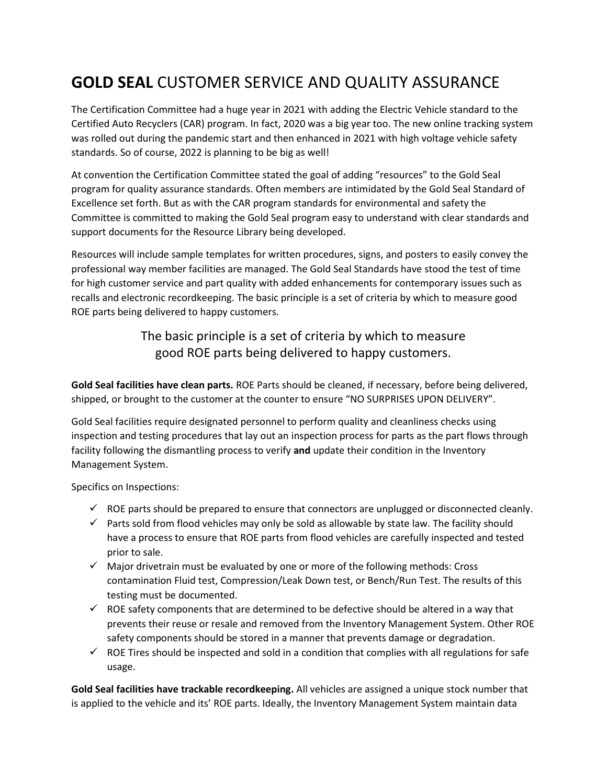## **GOLD SEAL** CUSTOMER SERVICE AND QUALITY ASSURANCE

The Certification Committee had a huge year in 2021 with adding the Electric Vehicle standard to the Certified Auto Recyclers (CAR) program. In fact, 2020 was a big year too. The new online tracking system was rolled out during the pandemic start and then enhanced in 2021 with high voltage vehicle safety standards. So of course, 2022 is planning to be big as well!

At convention the Certification Committee stated the goal of adding "resources" to the Gold Seal program for quality assurance standards. Often members are intimidated by the Gold Seal Standard of Excellence set forth. But as with the CAR program standards for environmental and safety the Committee is committed to making the Gold Seal program easy to understand with clear standards and support documents for the Resource Library being developed.

Resources will include sample templates for written procedures, signs, and posters to easily convey the professional way member facilities are managed. The Gold Seal Standards have stood the test of time for high customer service and part quality with added enhancements for contemporary issues such as recalls and electronic recordkeeping. The basic principle is a set of criteria by which to measure good ROE parts being delivered to happy customers.

> The basic principle is a set of criteria by which to measure good ROE parts being delivered to happy customers.

**Gold Seal facilities have clean parts.** ROE Parts should be cleaned, if necessary, before being delivered, shipped, or brought to the customer at the counter to ensure "NO SURPRISES UPON DELIVERY".

Gold Seal facilities require designated personnel to perform quality and cleanliness checks using inspection and testing procedures that lay out an inspection process for parts as the part flows through facility following the dismantling process to verify **and** update their condition in the Inventory Management System.

Specifics on Inspections:

- $\checkmark$  ROE parts should be prepared to ensure that connectors are unplugged or disconnected cleanly.
- $\checkmark$  Parts sold from flood vehicles may only be sold as allowable by state law. The facility should have a process to ensure that ROE parts from flood vehicles are carefully inspected and tested prior to sale.
- $\checkmark$  Major drivetrain must be evaluated by one or more of the following methods: Cross contamination Fluid test, Compression/Leak Down test, or Bench/Run Test. The results of this testing must be documented.
- $\checkmark$  ROE safety components that are determined to be defective should be altered in a way that prevents their reuse or resale and removed from the Inventory Management System. Other ROE safety components should be stored in a manner that prevents damage or degradation.
- $\checkmark$  ROE Tires should be inspected and sold in a condition that complies with all regulations for safe usage.

**Gold Seal facilities have trackable recordkeeping.** All vehicles are assigned a unique stock number that is applied to the vehicle and its' ROE parts. Ideally, the Inventory Management System maintain data